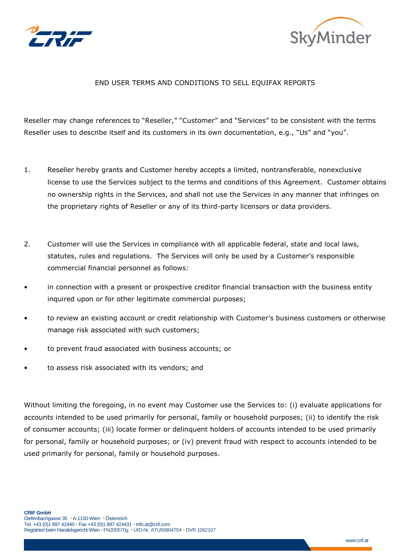



## END USER TERMS AND CONDITIONS TO SELL EQUIFAX REPORTS

Reseller may change references to "Reseller," "Customer" and "Services" to be consistent with the terms Reseller uses to describe itself and its customers in its own documentation, e.g., "Us" and "you".

- 1. Reseller hereby grants and Customer hereby accepts a limited, nontransferable, nonexclusive license to use the Services subject to the terms and conditions of this Agreement. Customer obtains no ownership rights in the Services, and shall not use the Services in any manner that infringes on the proprietary rights of Reseller or any of its third-party licensors or data providers.
- 2. Customer will use the Services in compliance with all applicable federal, state and local laws, statutes, rules and regulations. The Services will only be used by a Customer's responsible commercial financial personnel as follows:
- in connection with a present or prospective creditor financial transaction with the business entity inquired upon or for other legitimate commercial purposes;
- to review an existing account or credit relationship with Customer's business customers or otherwise manage risk associated with such customers;
- to prevent fraud associated with business accounts; or
- to assess risk associated with its vendors; and

Without limiting the foregoing, in no event may Customer use the Services to: (i) evaluate applications for accounts intended to be used primarily for personal, family or household purposes; (ii) to identify the risk of consumer accounts; (iii) locate former or delinquent holders of accounts intended to be used primarily for personal, family or household purposes; or (iv) prevent fraud with respect to accounts intended to be used primarily for personal, family or household purposes.